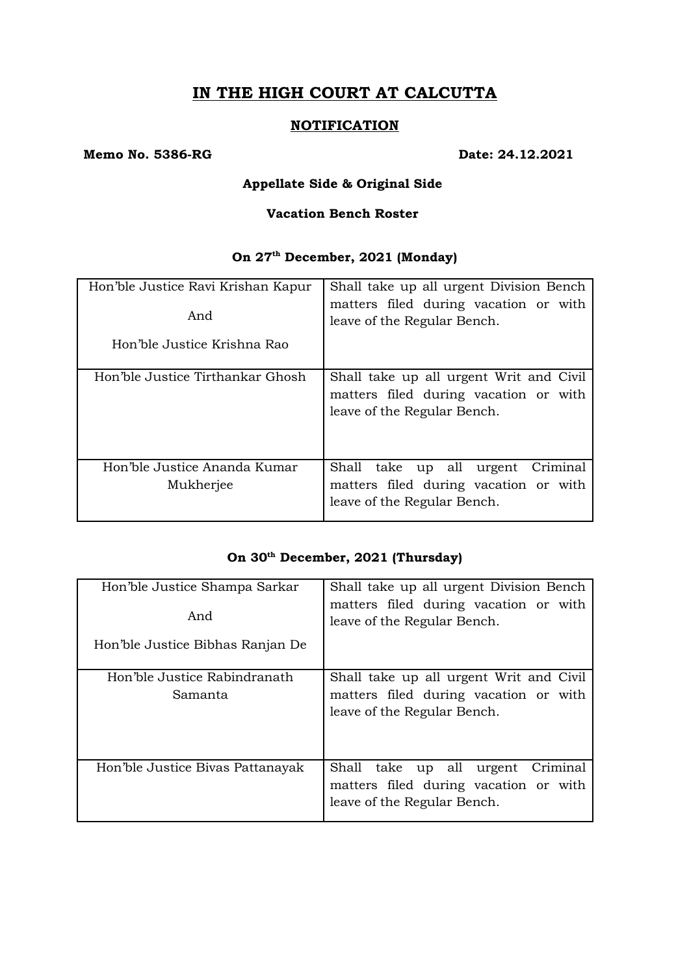# **IN THE HIGH COURT AT CALCUTTA**

### **NOTIFICATION**

#### **Memo No. 5386-RG Date: 24.12.2021**

### **Appellate Side & Original Side**

#### **Vacation Bench Roster**

## **On 27th December, 2021 (Monday)**

| Hon'ble Justice Ravi Krishan Kapur<br>And<br>Hon'ble Justice Krishna Rao | Shall take up all urgent Division Bench<br>matters filed during vacation or with<br>leave of the Regular Bench. |
|--------------------------------------------------------------------------|-----------------------------------------------------------------------------------------------------------------|
| Hon'ble Justice Tirthankar Ghosh                                         | Shall take up all urgent Writ and Civil<br>matters filed during vacation or with<br>leave of the Regular Bench. |
| Hon'ble Justice Ananda Kumar<br>Mukherjee                                | Shall take up all urgent<br>Criminal<br>matters filed during vacation or with<br>leave of the Regular Bench.    |

# **On 30th December, 2021 (Thursday)**

| Hon'ble Justice Shampa Sarkar<br>And<br>Hon'ble Justice Bibhas Ranjan De | Shall take up all urgent Division Bench<br>matters filed during vacation or with<br>leave of the Regular Bench. |
|--------------------------------------------------------------------------|-----------------------------------------------------------------------------------------------------------------|
| Hon'ble Justice Rabindranath<br>Samanta                                  | Shall take up all urgent Writ and Civil<br>matters filed during vacation or with<br>leave of the Regular Bench. |
| Hon'ble Justice Bivas Pattanayak                                         | Shall take up all<br>urgent<br>Criminal<br>matters filed during vacation or with<br>leave of the Regular Bench. |